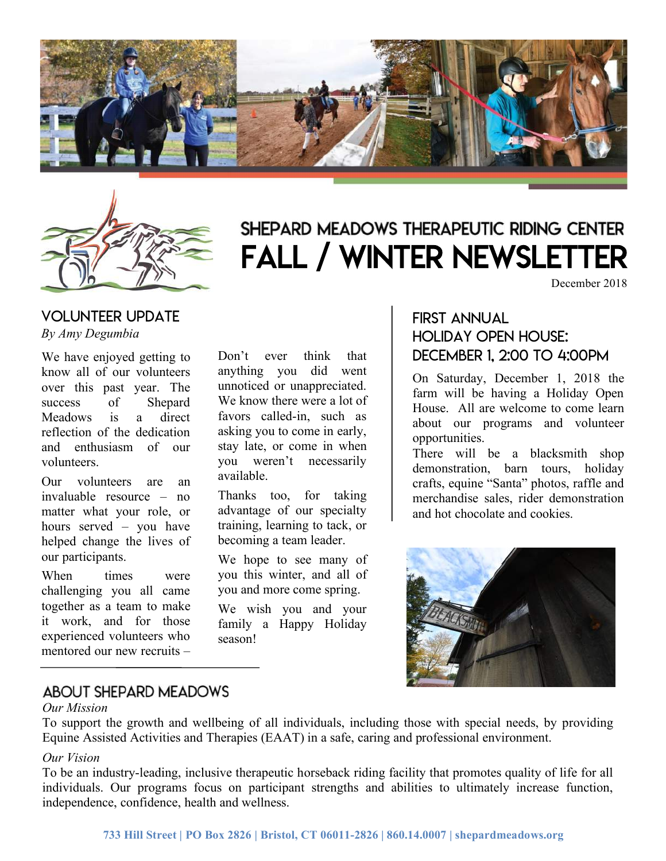



# SHEPARD MEADOWS THERAPEUTIC RIDING CENTER Fall / winter newsletter

December 2018

#### VOLUNTEER UPDATE *By Amy Degumbia*

We have enjoyed getting to know all of our volunteers over this past year. The success of Shepard Meadows is a direct reflection of the dedication and enthusiasm of our volunteers.

Our volunteers are an invaluable resource – no matter what your role, or hours served – you have helped change the lives of our participants.

When times were challenging you all came together as a team to make it work, and for those experienced volunteers who mentored our new recruits –

Don't ever think that anything you did went unnoticed or unappreciated. We know there were a lot of favors called-in, such as asking you to come in early, stay late, or come in when you weren't necessarily available.

Thanks too, for taking advantage of our specialty training, learning to tack, or becoming a team leader.

We hope to see many of you this winter, and all of you and more come spring.

We wish you and your family a Happy Holiday season!

### First annual HOLIDAY OPEN HOUSE: DECEMBER 1, 2:00 to 4:00PM

On Saturday, December 1, 2018 the farm will be having a Holiday Open House. All are welcome to come learn about our programs and volunteer opportunities.

There will be a blacksmith shop demonstration, barn tours, holiday crafts, equine "Santa" photos, raffle and merchandise sales, rider demonstration and hot chocolate and cookies.



# ABOUT SHEPARD MEADOWS

#### *Our Mission*

a huge thank you want to be a huge thank you want to

To support the growth and wellbeing of all individuals, including those with special needs, by providing Equine Assisted Activities and Therapies (EAAT) in a safe, caring and professional environment.

#### *Our Vision*

To be an industry-leading, inclusive therapeutic horseback riding facility that promotes quality of life for all individuals. Our programs focus on participant strengths and abilities to ultimately increase function, independence, confidence, health and wellness.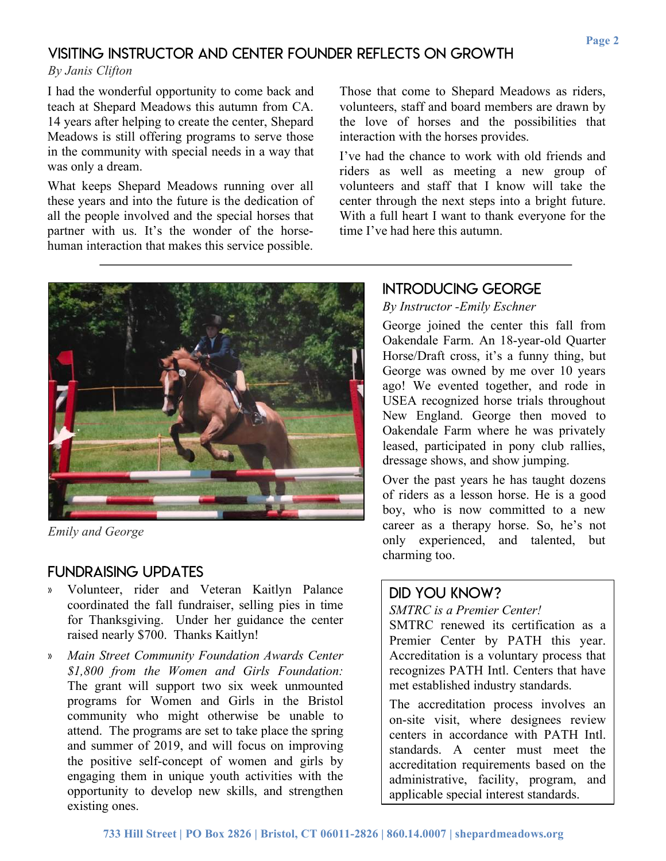#### Visiting instructor and center founder reflects on growth

*By Janis Clifton*

I had the wonderful opportunity to come back and teach at Shepard Meadows this autumn from CA. 14 years after helping to create the center, Shepard Meadows is still offering programs to serve those in the community with special needs in a way that was only a dream.

What keeps Shepard Meadows running over all these years and into the future is the dedication of all the people involved and the special horses that partner with us. It's the wonder of the horsehuman interaction that makes this service possible.

Those that come to Shepard Meadows as riders, volunteers, staff and board members are drawn by the love of horses and the possibilities that interaction with the horses provides.

I've had the chance to work with old friends and riders as well as meeting a new group of volunteers and staff that I know will take the center through the next steps into a bright future. With a full heart I want to thank everyone for the time I've had here this autumn.



*Emily and George*

#### Fundraising updates

- » Volunteer, rider and Veteran Kaitlyn Palance coordinated the fall fundraiser, selling pies in time for Thanksgiving. Under her guidance the center raised nearly \$700. Thanks Kaitlyn!
- » *Main Street Community Foundation Awards Center \$1,800 from the Women and Girls Foundation:* The grant will support two six week unmounted programs for Women and Girls in the Bristol community who might otherwise be unable to attend. The programs are set to take place the spring and summer of 2019, and will focus on improving the positive self-concept of women and girls by engaging them in unique youth activities with the opportunity to develop new skills, and strengthen existing ones.

### Introducing george

*By Instructor -Emily Eschner*

George joined the center this fall from Oakendale Farm. An 18-year-old Quarter Horse/Draft cross, it's a funny thing, but George was owned by me over 10 years ago! We evented together, and rode in USEA recognized horse trials throughout New England. George then moved to Oakendale Farm where he was privately leased, participated in pony club rallies, dressage shows, and show jumping.

Over the past years he has taught dozens of riders as a lesson horse. He is a good boy, who is now committed to a new career as a therapy horse. So, he's not only experienced, and talented, but charming too.

# Did you know?

#### *SMTRC is a Premier Center!*

SMTRC renewed its certification as a Premier Center by PATH this year. Accreditation is a voluntary process that recognizes PATH Intl. Centers that have met established industry standards.

The accreditation process involves an on-site visit, where designees review centers in accordance with PATH Intl. standards. A center must meet the accreditation requirements based on the administrative, facility, program, and applicable special interest standards.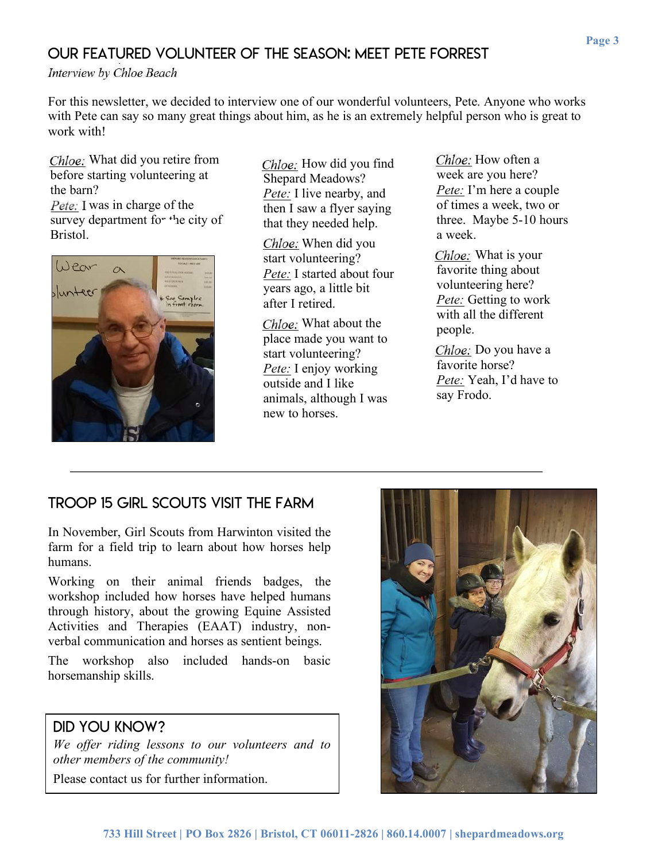# Our featured volunteer of the season: Meet Pete Forrest

**Interview by Chloe Beach** 

For this newsletter, we decided to interview one of our wonderful volunteers, Pete. Anyone who works with Pete can say so many great things about him, as he is an extremely helpful person who is great to work with!

*Emily:* What did you retire from before starting volunteering at the barn? *Pete:* I was in charge of the

survey department for  $t$ -he city of Bristol.



*Emily:* How did you find Shepard Meadows? *Pete:* I live nearby, and then I saw a flyer saying that they needed help.

*Emily:* When did you start volunteering? *Pete:* I started about four years ago, a little bit after I retired.

*Emily:* What about the place made you want to start volunteering? *Pete:* I enjoy working outside and I like animals, although I was new to horses.

*Emily:* How often a week are you here? *Pete:* I'm here a couple of times a week, two or three. Maybe 5-10 hours a week.

*Emily:* What is your favorite thing about volunteering here? *Pete:* Getting to work with all the different people.

*Emily:* Do you have a favorite horse? *Pete:* Yeah, I'd have to say Frodo.

# Troop 15 girl scouts visit the farm

In November, Girl Scouts from Harwinton visited the farm for a field trip to learn about how horses help humans.

Working on their animal friends badges, the workshop included how horses have helped humans through history, about the growing Equine Assisted Activities and Therapies (EAAT) industry, nonverbal communication and horses as sentient beings.

The workshop also included hands-on basic horsemanship skills.

#### Did you know?

*We offer riding lessons to our volunteers and to other members of the community!*

Please contact us for further information.